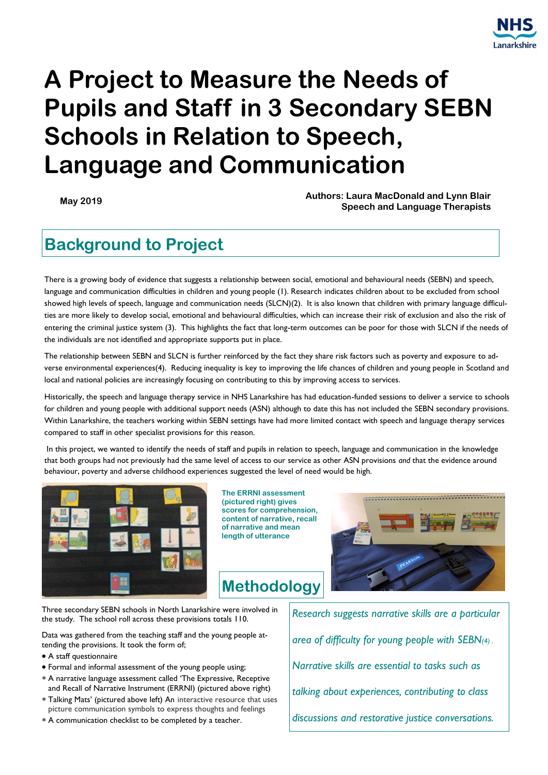

# **A Project to Measure the Needs of Pupils and Staff in 3 Secondary SEBN Schools in Relation to Speech, Language and Communication**

**May 2019 Authors: Laura MacDonald and Lynn Blair Speech and Language Therapists**

### **Background to Project**

There is a growing body of evidence that suggests a relationship between social, emotional and behavioural needs (SEBN) and speech, language and communication difficulties in children and young people (1). Research indicates children about to be excluded from school showed high levels of speech, language and communication needs (SLCN)(2). It is also known that children with primary language difficulties are more likely to develop social, emotional and behavioural difficulties, which can increase their risk of exclusion and also the risk of entering the criminal justice system (3). This highlights the fact that long-term outcomes can be poor for those with SLCN if the needs of the individuals are not identified and appropriate supports put in place.

The relationship between SEBN and SLCN is further reinforced by the fact they share risk factors such as poverty and exposure to adverse environmental experiences(4). Reducing inequality is key to improving the life chances of children and young people in Scotland and local and national policies are increasingly focusing on contributing to this by improving access to services.

Historically, the speech and language therapy service in NHS Lanarkshire has had education-funded sessions to deliver a service to schools for children and young people with additional support needs (ASN) although to date this has not included the SEBN secondary provisions. Within Lanarkshire, the teachers working within SEBN settings have had more limited contact with speech and language therapy services compared to staff in other specialist provisions for this reason.

In this project, we wanted to identify the needs of staff and pupils in relation to speech, language and communication in the knowledge that both groups had not previously had the same level of access to our service as other ASN provisions *and* that the evidence around behaviour, poverty and adverse childhood experiences suggested the level of need would be high.



**The ERRNI assessment (pictured right) gives scores for comprehension, content of narrative, recall of narrative and mean length of utterance**

**Methodology**



Three secondary SEBN schools in North Lanarkshire were involved in the study. The school roll across these provisions totals 110.

Data was gathered from the teaching staff and the young people attending the provisions. It took the form of;

- A staff questionnaire
- Formal and informal assessment of the young people using;
- A narrative language assessment called 'The Expressive, Receptive and Recall of Narrative Instrument (ERRNI) (pictured above right)
- Talking Mats' (pictured above left) An interactive resource that uses picture communication symbols to express thoughts and feelings
- A communication checklist to be completed by a teacher.

*Research suggests narrative skills are a particular area of difficulty for young people with SEBN(4) . Narrative skills are essential to tasks such as talking about experiences, contributing to class discussions and restorative justice conversations.*